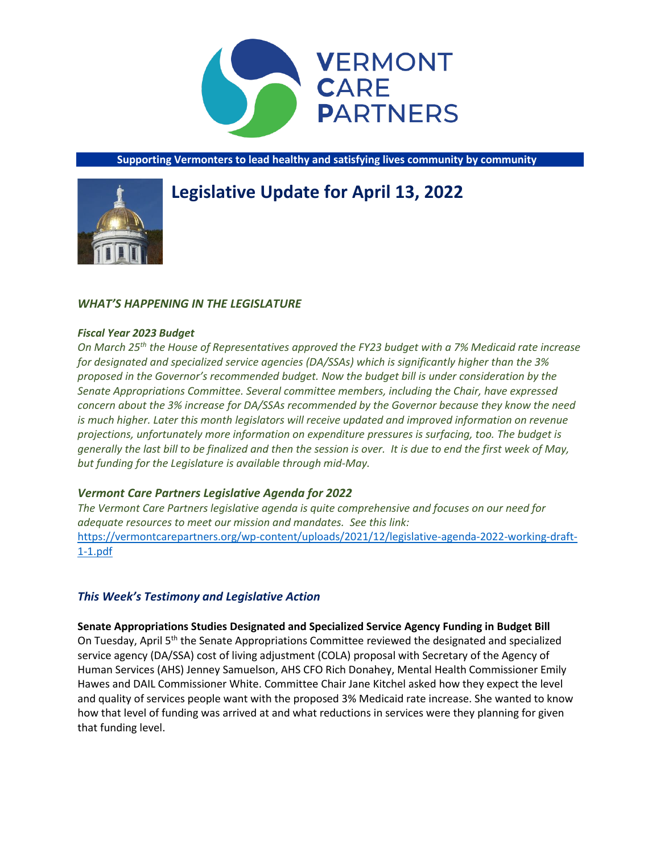

**Supporting Vermonters to lead healthy and satisfying lives community by community**

# **Legislative Update for April 13, 2022**



#### *Fiscal Year 2023 Budget*

*On March 25th the House of Representatives approved the FY23 budget with a 7% Medicaid rate increase for designated and specialized service agencies (DA/SSAs) which is significantly higher than the 3% proposed in the Governor's recommended budget. Now the budget bill is under consideration by the Senate Appropriations Committee. Several committee members, including the Chair, have expressed concern about the 3% increase for DA/SSAs recommended by the Governor because they know the need is much higher. Later this month legislators will receive updated and improved information on revenue projections, unfortunately more information on expenditure pressures is surfacing, too. The budget is generally the last bill to be finalized and then the session is over. It is due to end the first week of May, but funding for the Legislature is available through mid-May.* 

## *Vermont Care Partners Legislative Agenda for 2022*

*The Vermont Care Partners legislative agenda is quite comprehensive and focuses on our need for adequate resources to meet our mission and mandates. See this link:*  [https://vermontcarepartners.org/wp-content/uploads/2021/12/legislative-agenda-2022-working-draft-](https://vermontcarepartners.org/wp-content/uploads/2021/12/legislative-agenda-2022-working-draft-1-1.pdf)[1-1.pdf](https://vermontcarepartners.org/wp-content/uploads/2021/12/legislative-agenda-2022-working-draft-1-1.pdf)

# *This Week's Testimony and Legislative Action*

**Senate Appropriations Studies Designated and Specialized Service Agency Funding in Budget Bill** On Tuesday, April 5<sup>th</sup> the Senate Appropriations Committee reviewed the designated and specialized service agency (DA/SSA) cost of living adjustment (COLA) proposal with Secretary of the Agency of Human Services (AHS) Jenney Samuelson, AHS CFO Rich Donahey, Mental Health Commissioner Emily Hawes and DAIL Commissioner White. Committee Chair Jane Kitchel asked how they expect the level and quality of services people want with the proposed 3% Medicaid rate increase. She wanted to know how that level of funding was arrived at and what reductions in services were they planning for given that funding level.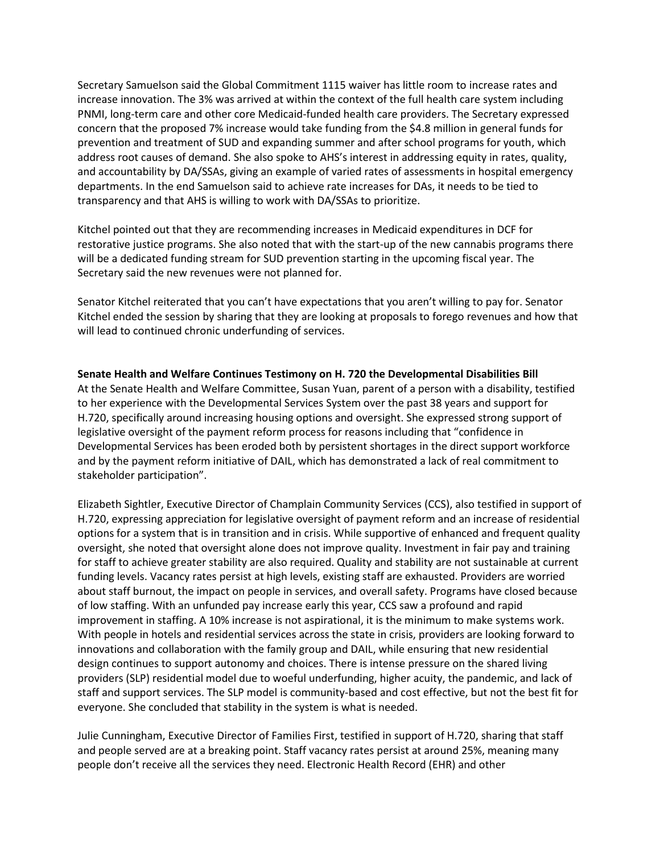Secretary Samuelson said the Global Commitment 1115 waiver has little room to increase rates and increase innovation. The 3% was arrived at within the context of the full health care system including PNMI, long-term care and other core Medicaid-funded health care providers. The Secretary expressed concern that the proposed 7% increase would take funding from the \$4.8 million in general funds for prevention and treatment of SUD and expanding summer and after school programs for youth, which address root causes of demand. She also spoke to AHS's interest in addressing equity in rates, quality, and accountability by DA/SSAs, giving an example of varied rates of assessments in hospital emergency departments. In the end Samuelson said to achieve rate increases for DAs, it needs to be tied to transparency and that AHS is willing to work with DA/SSAs to prioritize.

Kitchel pointed out that they are recommending increases in Medicaid expenditures in DCF for restorative justice programs. She also noted that with the start-up of the new cannabis programs there will be a dedicated funding stream for SUD prevention starting in the upcoming fiscal year. The Secretary said the new revenues were not planned for.

Senator Kitchel reiterated that you can't have expectations that you aren't willing to pay for. Senator Kitchel ended the session by sharing that they are looking at proposals to forego revenues and how that will lead to continued chronic underfunding of services.

**Senate Health and Welfare Continues Testimony on H. 720 the Developmental Disabilities Bill** At the Senate Health and Welfare Committee, Susan Yuan, parent of a person with a disability, testified to her experience with the Developmental Services System over the past 38 years and support for H.720, specifically around increasing housing options and oversight. She expressed strong support of legislative oversight of the payment reform process for reasons including that "confidence in Developmental Services has been eroded both by persistent shortages in the direct support workforce and by the payment reform initiative of DAIL, which has demonstrated a lack of real commitment to stakeholder participation".

Elizabeth Sightler, Executive Director of Champlain Community Services (CCS), also testified in support of H.720, expressing appreciation for legislative oversight of payment reform and an increase of residential options for a system that is in transition and in crisis. While supportive of enhanced and frequent quality oversight, she noted that oversight alone does not improve quality. Investment in fair pay and training for staff to achieve greater stability are also required. Quality and stability are not sustainable at current funding levels. Vacancy rates persist at high levels, existing staff are exhausted. Providers are worried about staff burnout, the impact on people in services, and overall safety. Programs have closed because of low staffing. With an unfunded pay increase early this year, CCS saw a profound and rapid improvement in staffing. A 10% increase is not aspirational, it is the minimum to make systems work. With people in hotels and residential services across the state in crisis, providers are looking forward to innovations and collaboration with the family group and DAIL, while ensuring that new residential design continues to support autonomy and choices. There is intense pressure on the shared living providers (SLP) residential model due to woeful underfunding, higher acuity, the pandemic, and lack of staff and support services. The SLP model is community-based and cost effective, but not the best fit for everyone. She concluded that stability in the system is what is needed.

Julie Cunningham, Executive Director of Families First, testified in support of H.720, sharing that staff and people served are at a breaking point. Staff vacancy rates persist at around 25%, meaning many people don't receive all the services they need. Electronic Health Record (EHR) and other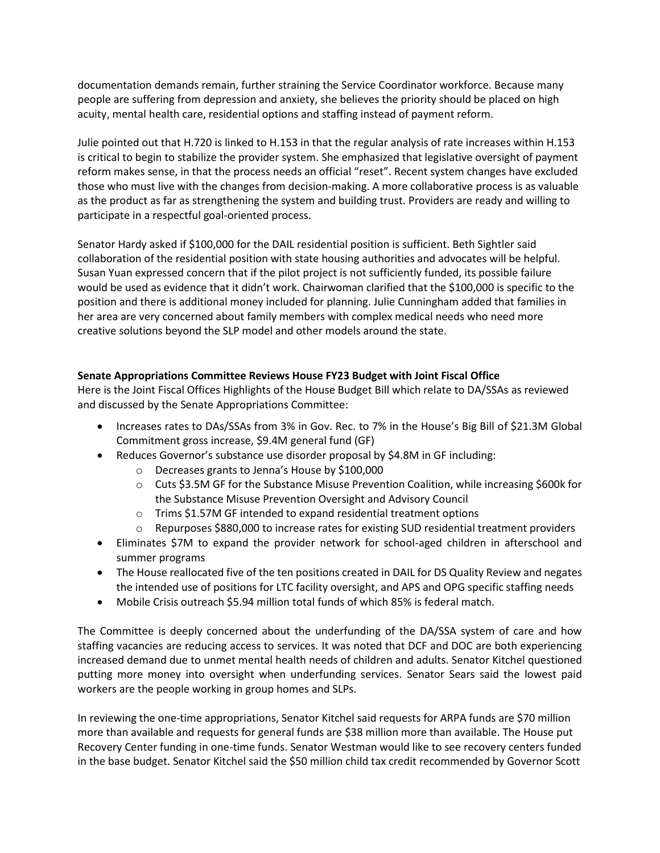documentation demands remain, further straining the Service Coordinator workforce. Because many people are suffering from depression and anxiety, she believes the priority should be placed on high acuity, mental health care, residential options and staffing instead of payment reform.

Julie pointed out that H.720 is linked to H.153 in that the regular analysis of rate increases within H.153 is critical to begin to stabilize the provider system. She emphasized that legislative oversight of payment reform makes sense, in that the process needs an official "reset". Recent system changes have excluded those who must live with the changes from decision-making. A more collaborative process is as valuable as the product as far as strengthening the system and building trust. Providers are ready and willing to participate in a respectful goal-oriented process.

Senator Hardy asked if \$100,000 for the DAIL residential position is sufficient. Beth Sightler said collaboration of the residential position with state housing authorities and advocates will be helpful. Susan Yuan expressed concern that if the pilot project is not sufficiently funded, its possible failure would be used as evidence that it didn't work. Chairwoman clarified that the \$100,000 is specific to the position and there is additional money included for planning. Julie Cunningham added that families in her area are very concerned about family members with complex medical needs who need more creative solutions beyond the SLP model and other models around the state.

# **Senate Appropriations Committee Reviews House FY23 Budget with Joint Fiscal Office**

Here is the Joint Fiscal Offices Highlights of the House Budget Bill which relate to DA/SSAs as reviewed and discussed by the Senate Appropriations Committee:

- Increases rates to DAs/SSAs from 3% in Gov. Rec. to 7% in the House's Big Bill of \$21.3M Global Commitment gross increase, \$9.4M general fund (GF)
- Reduces Governor's substance use disorder proposal by \$4.8M in GF including:
	- o Decreases grants to Jenna's House by \$100,000
	- o Cuts \$3.5M GF for the Substance Misuse Prevention Coalition, while increasing \$600k for the Substance Misuse Prevention Oversight and Advisory Council
	- o Trims \$1.57M GF intended to expand residential treatment options
	- $\circ$  Repurposes \$880,000 to increase rates for existing SUD residential treatment providers
- Eliminates \$7M to expand the provider network for school-aged children in afterschool and summer programs
- The House reallocated five of the ten positions created in DAIL for DS Quality Review and negates the intended use of positions for LTC facility oversight, and APS and OPG specific staffing needs
- Mobile Crisis outreach \$5.94 million total funds of which 85% is federal match.

The Committee is deeply concerned about the underfunding of the DA/SSA system of care and how staffing vacancies are reducing access to services. It was noted that DCF and DOC are both experiencing increased demand due to unmet mental health needs of children and adults. Senator Kitchel questioned putting more money into oversight when underfunding services. Senator Sears said the lowest paid workers are the people working in group homes and SLPs.

In reviewing the one-time appropriations, Senator Kitchel said requests for ARPA funds are \$70 million more than available and requests for general funds are \$38 million more than available. The House put Recovery Center funding in one-time funds. Senator Westman would like to see recovery centers funded in the base budget. Senator Kitchel said the \$50 million child tax credit recommended by Governor Scott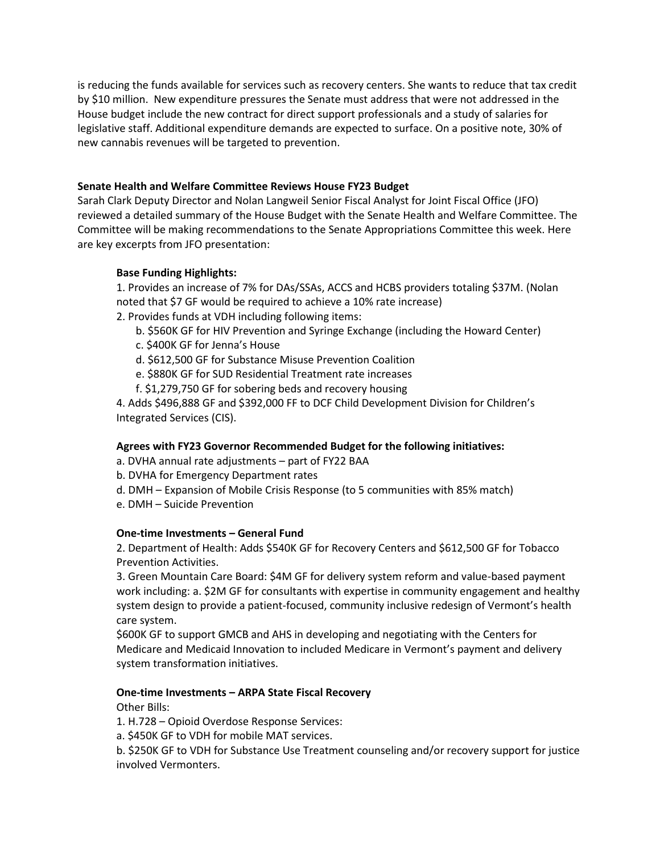is reducing the funds available for services such as recovery centers. She wants to reduce that tax credit by \$10 million. New expenditure pressures the Senate must address that were not addressed in the House budget include the new contract for direct support professionals and a study of salaries for legislative staff. Additional expenditure demands are expected to surface. On a positive note, 30% of new cannabis revenues will be targeted to prevention.

# **Senate Health and Welfare Committee Reviews House FY23 Budget**

Sarah Clark Deputy Director and Nolan Langweil Senior Fiscal Analyst for Joint Fiscal Office (JFO) reviewed a detailed summary of the House Budget with the Senate Health and Welfare Committee. The Committee will be making recommendations to the Senate Appropriations Committee this week. Here are key excerpts from JFO presentation:

# **Base Funding Highlights:**

1. Provides an increase of 7% for DAs/SSAs, ACCS and HCBS providers totaling \$37M. (Nolan noted that \$7 GF would be required to achieve a 10% rate increase)

- 2. Provides funds at VDH including following items:
	- b. \$560K GF for HIV Prevention and Syringe Exchange (including the Howard Center)
	- c. \$400K GF for Jenna's House
	- d. \$612,500 GF for Substance Misuse Prevention Coalition
	- e. \$880K GF for SUD Residential Treatment rate increases
	- f. \$1,279,750 GF for sobering beds and recovery housing

4. Adds \$496,888 GF and \$392,000 FF to DCF Child Development Division for Children's Integrated Services (CIS).

## **Agrees with FY23 Governor Recommended Budget for the following initiatives:**

- a. DVHA annual rate adjustments part of FY22 BAA
- b. DVHA for Emergency Department rates
- d. DMH Expansion of Mobile Crisis Response (to 5 communities with 85% match)
- e. DMH Suicide Prevention

## **One-time Investments – General Fund**

2. Department of Health: Adds \$540K GF for Recovery Centers and \$612,500 GF for Tobacco Prevention Activities.

3. Green Mountain Care Board: \$4M GF for delivery system reform and value-based payment work including: a. \$2M GF for consultants with expertise in community engagement and healthy system design to provide a patient-focused, community inclusive redesign of Vermont's health care system.

\$600K GF to support GMCB and AHS in developing and negotiating with the Centers for Medicare and Medicaid Innovation to included Medicare in Vermont's payment and delivery system transformation initiatives.

## **One-time Investments – ARPA State Fiscal Recovery**

Other Bills:

1. H.728 – Opioid Overdose Response Services:

a. \$450K GF to VDH for mobile MAT services.

b. \$250K GF to VDH for Substance Use Treatment counseling and/or recovery support for justice involved Vermonters.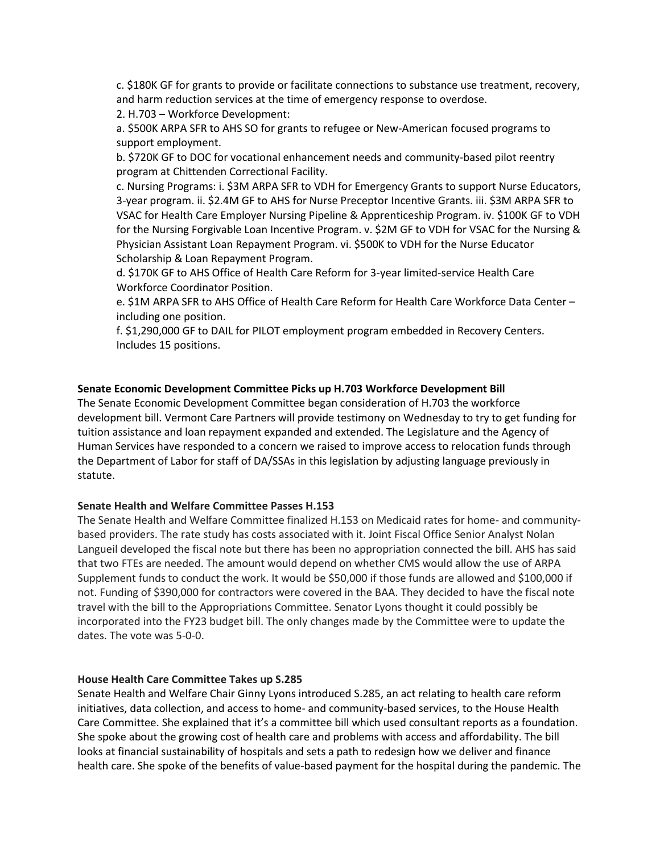c. \$180K GF for grants to provide or facilitate connections to substance use treatment, recovery, and harm reduction services at the time of emergency response to overdose.

2. H.703 – Workforce Development:

a. \$500K ARPA SFR to AHS SO for grants to refugee or New-American focused programs to support employment.

b. \$720K GF to DOC for vocational enhancement needs and community-based pilot reentry program at Chittenden Correctional Facility.

c. Nursing Programs: i. \$3M ARPA SFR to VDH for Emergency Grants to support Nurse Educators, 3-year program. ii. \$2.4M GF to AHS for Nurse Preceptor Incentive Grants. iii. \$3M ARPA SFR to VSAC for Health Care Employer Nursing Pipeline & Apprenticeship Program. iv. \$100K GF to VDH for the Nursing Forgivable Loan Incentive Program. v. \$2M GF to VDH for VSAC for the Nursing & Physician Assistant Loan Repayment Program. vi. \$500K to VDH for the Nurse Educator Scholarship & Loan Repayment Program.

d. \$170K GF to AHS Office of Health Care Reform for 3-year limited-service Health Care Workforce Coordinator Position.

e. \$1M ARPA SFR to AHS Office of Health Care Reform for Health Care Workforce Data Center – including one position.

f. \$1,290,000 GF to DAIL for PILOT employment program embedded in Recovery Centers. Includes 15 positions.

#### **Senate Economic Development Committee Picks up H.703 Workforce Development Bill**

The Senate Economic Development Committee began consideration of H.703 the workforce development bill. Vermont Care Partners will provide testimony on Wednesday to try to get funding for tuition assistance and loan repayment expanded and extended. The Legislature and the Agency of Human Services have responded to a concern we raised to improve access to relocation funds through the Department of Labor for staff of DA/SSAs in this legislation by adjusting language previously in statute.

#### **Senate Health and Welfare Committee Passes H.153**

The Senate Health and Welfare Committee finalized H.153 on Medicaid rates for home- and communitybased providers. The rate study has costs associated with it. Joint Fiscal Office Senior Analyst Nolan Langueil developed the fiscal note but there has been no appropriation connected the bill. AHS has said that two FTEs are needed. The amount would depend on whether CMS would allow the use of ARPA Supplement funds to conduct the work. It would be \$50,000 if those funds are allowed and \$100,000 if not. Funding of \$390,000 for contractors were covered in the BAA. They decided to have the fiscal note travel with the bill to the Appropriations Committee. Senator Lyons thought it could possibly be incorporated into the FY23 budget bill. The only changes made by the Committee were to update the dates. The vote was 5-0-0.

#### **House Health Care Committee Takes up S.285**

Senate Health and Welfare Chair Ginny Lyons introduced S.285, an act relating to health care reform initiatives, data collection, and access to home- and community-based services, to the House Health Care Committee. She explained that it's a committee bill which used consultant reports as a foundation. She spoke about the growing cost of health care and problems with access and affordability. The bill looks at financial sustainability of hospitals and sets a path to redesign how we deliver and finance health care. She spoke of the benefits of value-based payment for the hospital during the pandemic. The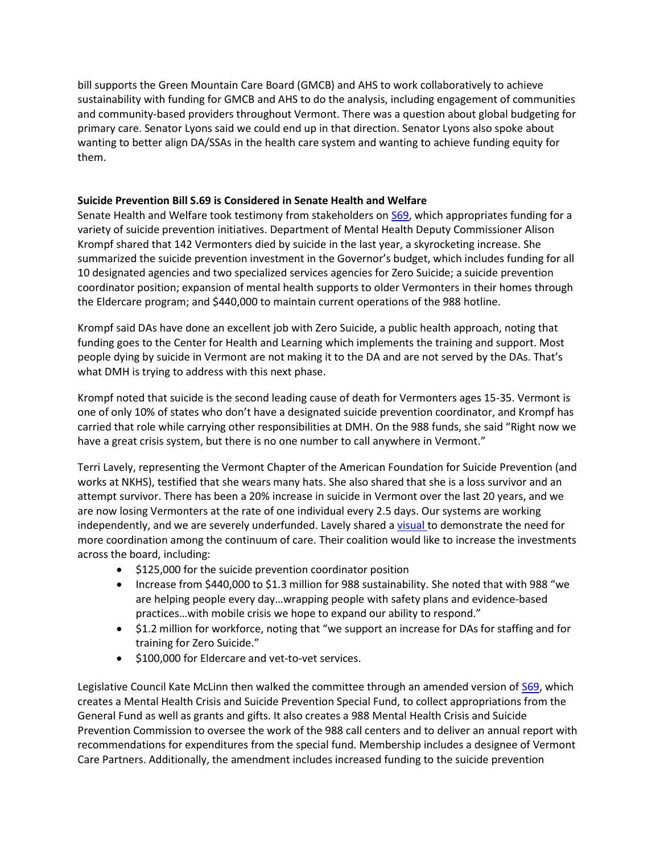bill supports the Green Mountain Care Board (GMCB) and AHS to work collaboratively to achieve sustainability with funding for GMCB and AHS to do the analysis, including engagement of communities and community-based providers throughout Vermont. There was a question about global budgeting for primary care. Senator Lyons said we could end up in that direction. Senator Lyons also spoke about wanting to better align DA/SSAs in the health care system and wanting to achieve funding equity for them.

## **Suicide Prevention Bill S.69 is Considered in Senate Health and Welfare**

Senate Health and Welfare took testimony from stakeholders on [S69,](https://legislature.vermont.gov/Documents/2022/Docs/BILLS/S-0069/S-0069%20As%20Introduced.pdf) which appropriates funding for a variety of suicide prevention initiatives. Department of Mental Health Deputy Commissioner Alison Krompf shared that 142 Vermonters died by suicide in the last year, a skyrocketing increase. She summarized the suicide prevention investment in the Governor's budget, which includes funding for all 10 designated agencies and two specialized services agencies for Zero Suicide; a suicide prevention coordinator position; expansion of mental health supports to older Vermonters in their homes through the Eldercare program; and \$440,000 to maintain current operations of the 988 hotline.

Krompf said DAs have done an excellent job with Zero Suicide, a public health approach, noting that funding goes to the Center for Health and Learning which implements the training and support. Most people dying by suicide in Vermont are not making it to the DA and are not served by the DAs. That's what DMH is trying to address with this next phase.

Krompf noted that suicide is the second leading cause of death for Vermonters ages 15-35. Vermont is one of only 10% of states who don't have a designated suicide prevention coordinator, and Krompf has carried that role while carrying other responsibilities at DMH. On the 988 funds, she said "Right now we have a great crisis system, but there is no one number to call anywhere in Vermont."

Terri Lavely, representing the Vermont Chapter of the American Foundation for Suicide Prevention (and works at NKHS), testified that she wears many hats. She also shared that she is a loss survivor and an attempt survivor. There has been a 20% increase in suicide in Vermont over the last 20 years, and we are now losing Vermonters at the rate of one individual every 2.5 days. Our systems are working independently, and we are severely underfunded. Lavely shared [a visual](https://legislature.vermont.gov/Documents/2022/WorkGroups/Senate%20Health%20and%20Welfare/Bills/S.69/Witness%20Documents/S.69~Terri%20Lavely~Written%20Testimony~4-6-2022.pdf) to demonstrate the need for more coordination among the continuum of care. Their coalition would like to increase the investments across the board, including:

- \$125,000 for the suicide prevention coordinator position
- Increase from \$440,000 to \$1.3 million for 988 sustainability. She noted that with 988 "we are helping people every day…wrapping people with safety plans and evidence-based practices…with mobile crisis we hope to expand our ability to respond."
- \$1.2 million for workforce, noting that "we support an increase for DAs for staffing and for training for Zero Suicide."
- \$100,000 for Eldercare and vet-to-vet services.

Legislative Council Kate McLinn then walked the committee through an amended version of [S69,](https://legislature.vermont.gov/Documents/2022/WorkGroups/Senate%20Health%20and%20Welfare/Bills/S.69/Drafts,%20Amendments,%20and%20Legal%20Documents/S.69~Katie%20McLinn~Lyons%20Amendment~4-6-2022.pdf) which creates a Mental Health Crisis and Suicide Prevention Special Fund, to collect appropriations from the General Fund as well as grants and gifts. It also creates a 988 Mental Health Crisis and Suicide Prevention Commission to oversee the work of the 988 call centers and to deliver an annual report with recommendations for expenditures from the special fund. Membership includes a designee of Vermont Care Partners. Additionally, the amendment includes increased funding to the suicide prevention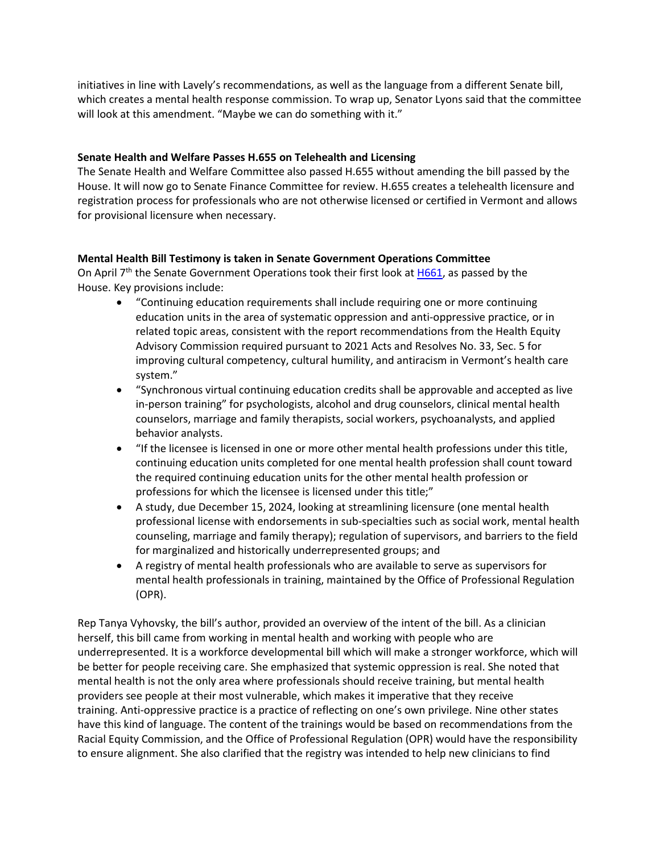initiatives in line with Lavely's recommendations, as well as the language from a different Senate bill, which creates a mental health response commission. To wrap up, Senator Lyons said that the committee will look at this amendment. "Maybe we can do something with it."

## **Senate Health and Welfare Passes H.655 on Telehealth and Licensing**

The Senate Health and Welfare Committee also passed H.655 without amending the bill passed by the House. It will now go to Senate Finance Committee for review. H.655 creates a telehealth licensure and registration process for professionals who are not otherwise licensed or certified in Vermont and allows for provisional licensure when necessary.

# **Mental Health Bill Testimony is taken in Senate Government Operations Committee**

On April 7<sup>th</sup> the Senate Government Operations took their first look at [H661,](https://legislature.vermont.gov/Documents/2022/WorkGroups/Senate%20Government%20Operations/Bills/H.661/Drafts,%20Amendments,%20and%20Legal%20Documents/H.661~Rebecca%20Wasserman~As%20Passed%20by%20the%20House~4-7-2022.pdf) as passed by the House. Key provisions include:

- "Continuing education requirements shall include requiring one or more continuing education units in the area of systematic oppression and anti-oppressive practice, or in related topic areas, consistent with the report recommendations from the Health Equity Advisory Commission required pursuant to 2021 Acts and Resolves No. 33, Sec. 5 for improving cultural competency, cultural humility, and antiracism in Vermont's health care system."
- "Synchronous virtual continuing education credits shall be approvable and accepted as live in-person training" for psychologists, alcohol and drug counselors, clinical mental health counselors, marriage and family therapists, social workers, psychoanalysts, and applied behavior analysts.
- "If the licensee is licensed in one or more other mental health professions under this title, continuing education units completed for one mental health profession shall count toward the required continuing education units for the other mental health profession or professions for which the licensee is licensed under this title;"
- A study, due December 15, 2024, looking at streamlining licensure (one mental health professional license with endorsements in sub-specialties such as social work, mental health counseling, marriage and family therapy); regulation of supervisors, and barriers to the field for marginalized and historically underrepresented groups; and
- A registry of mental health professionals who are available to serve as supervisors for mental health professionals in training, maintained by the Office of Professional Regulation (OPR).

Rep Tanya Vyhovsky, the bill's author, provided an overview of the intent of the bill. As a clinician herself, this bill came from working in mental health and working with people who are underrepresented. It is a workforce developmental bill which will make a stronger workforce, which will be better for people receiving care. She emphasized that systemic oppression is real. She noted that mental health is not the only area where professionals should receive training, but mental health providers see people at their most vulnerable, which makes it imperative that they receive training. Anti-oppressive practice is a practice of reflecting on one's own privilege. Nine other states have this kind of language. The content of the trainings would be based on recommendations from the Racial Equity Commission, and the Office of Professional Regulation (OPR) would have the responsibility to ensure alignment. She also clarified that the registry was intended to help new clinicians to find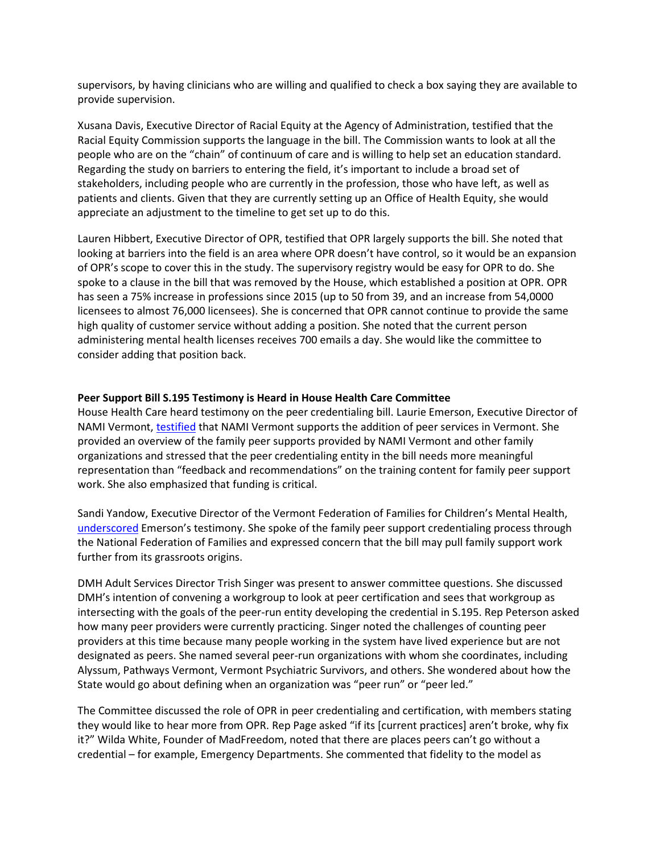supervisors, by having clinicians who are willing and qualified to check a box saying they are available to provide supervision.

Xusana Davis, Executive Director of Racial Equity at the Agency of Administration, testified that the Racial Equity Commission supports the language in the bill. The Commission wants to look at all the people who are on the "chain" of continuum of care and is willing to help set an education standard. Regarding the study on barriers to entering the field, it's important to include a broad set of stakeholders, including people who are currently in the profession, those who have left, as well as patients and clients. Given that they are currently setting up an Office of Health Equity, she would appreciate an adjustment to the timeline to get set up to do this.

Lauren Hibbert, Executive Director of OPR, testified that OPR largely supports the bill. She noted that looking at barriers into the field is an area where OPR doesn't have control, so it would be an expansion of OPR's scope to cover this in the study. The supervisory registry would be easy for OPR to do. She spoke to a clause in the bill that was removed by the House, which established a position at OPR. OPR has seen a 75% increase in professions since 2015 (up to 50 from 39, and an increase from 54,0000 licensees to almost 76,000 licensees). She is concerned that OPR cannot continue to provide the same high quality of customer service without adding a position. She noted that the current person administering mental health licenses receives 700 emails a day. She would like the committee to consider adding that position back.

#### **Peer Support Bill S.195 Testimony is Heard in House Health Care Committee**

House Health Care heard testimony on the peer credentialing bill. Laurie Emerson, Executive Director of NAMI Vermont, [testified](https://legislature.vermont.gov/Documents/2022/WorkGroups/House%20Health%20Care/Bills/S.195/Witness%20Testimony/S.195~Laurie%20Emerson~National%20Alliance%20on%20Mental%20Illness%20of%20Vermont%20Testimony~4-7-2022.pdf) that NAMI Vermont supports the addition of peer services in Vermont. She provided an overview of the family peer supports provided by NAMI Vermont and other family organizations and stressed that the peer credentialing entity in the bill needs more meaningful representation than "feedback and recommendations" on the training content for family peer support work. She also emphasized that funding is critical.

Sandi Yandow, Executive Director of the Vermont Federation of Families for Children's Mental Health, [underscored](https://legislature.vermont.gov/Documents/2022/WorkGroups/House%20Health%20Care/Bills/S.195/Witness%20Testimony/S.195~Sandi%20Yandow~Vermont%20Federation%20of%20Families%20for%20Children) Emerson's testimony. She spoke of the family peer support credentialing process through the National Federation of Families and expressed concern that the bill may pull family support work further from its grassroots origins.

DMH Adult Services Director Trish Singer was present to answer committee questions. She discussed DMH's intention of convening a workgroup to look at peer certification and sees that workgroup as intersecting with the goals of the peer-run entity developing the credential in S.195. Rep Peterson asked how many peer providers were currently practicing. Singer noted the challenges of counting peer providers at this time because many people working in the system have lived experience but are not designated as peers. She named several peer-run organizations with whom she coordinates, including Alyssum, Pathways Vermont, Vermont Psychiatric Survivors, and others. She wondered about how the State would go about defining when an organization was "peer run" or "peer led."

The Committee discussed the role of OPR in peer credentialing and certification, with members stating they would like to hear more from OPR. Rep Page asked "if its [current practices] aren't broke, why fix it?" Wilda White, Founder of MadFreedom, noted that there are places peers can't go without a credential – for example, Emergency Departments. She commented that fidelity to the model as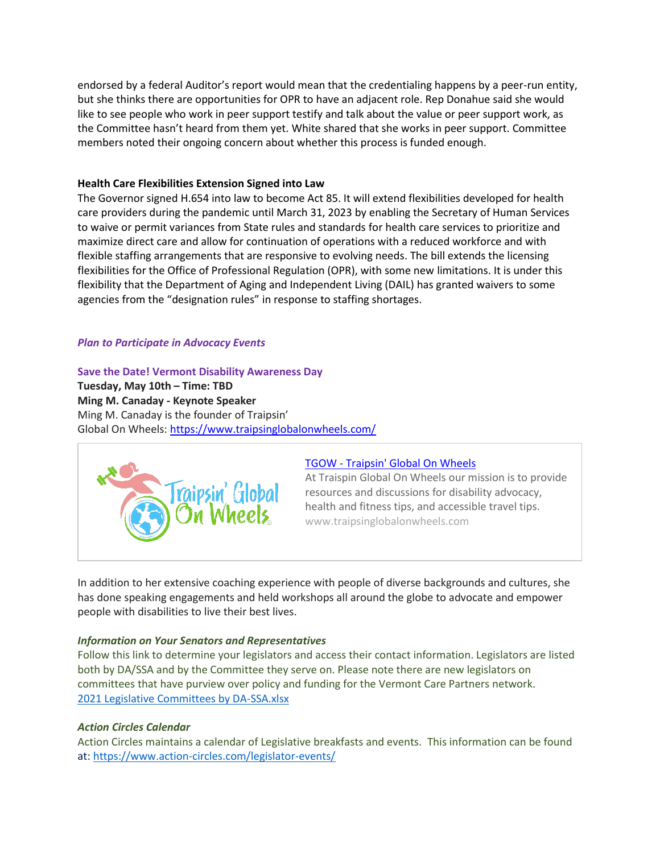endorsed by a federal Auditor's report would mean that the credentialing happens by a peer-run entity, but she thinks there are opportunities for OPR to have an adjacent role. Rep Donahue said she would like to see people who work in peer support testify and talk about the value or peer support work, as the Committee hasn't heard from them yet. White shared that she works in peer support. Committee members noted their ongoing concern about whether this process is funded enough.

## **Health Care Flexibilities Extension Signed into Law**

The Governor signed H.654 into law to become Act 85. It will extend flexibilities developed for health care providers during the pandemic until March 31, 2023 by enabling the Secretary of Human Services to waive or permit variances from State rules and standards for health care services to prioritize and maximize direct care and allow for continuation of operations with a reduced workforce and with flexible staffing arrangements that are responsive to evolving needs. The bill extends the licensing flexibilities for the Office of Professional Regulation (OPR), with some new limitations. It is under this flexibility that the Department of Aging and Independent Living (DAIL) has granted waivers to some agencies from the "designation rules" in response to staffing shortages.

#### *Plan to Participate in Advocacy Events*

#### **Save the Date! Vermont Disability Awareness Day**

**Tuesday, May 10th – Time: TBD Ming M. Canaday - Keynote Speaker** Ming M. Canaday is the founder of Traipsin' Global On Wheels: <https://www.traipsinglobalonwheels.com/>



## TGOW - [Traipsin'](https://www.traipsinglobalonwheels.com/) Global On Wheels

At Traispin Global On Wheels our mission is to provide resources and discussions for disability advocacy, health and fitness tips, and accessible travel tips. www.traipsinglobalonwheels.com

In addition to her extensive coaching experience with people of diverse backgrounds and cultures, she has done speaking engagements and held workshops all around the globe to advocate and empower people with disabilities to live their best lives.

#### *Information on Your Senators and Representatives*

Follow this link to determine your legislators and access their contact information. Legislators are listed both by DA/SSA and by the Committee they serve on. Please note there are new legislators on committees that have purview over policy and funding for the Vermont Care Partners network. [2021 Legislative Committees by DA-SSA.xlsx](https://vtcouncil-my.sharepoint.com/:x:/g/personal/julie_vtcouncil_org/Ec86BXqBOFdCkp2W_Ky_JTMBBoL-pm4tncEQgMSw6i2ilA?e=6oQWmd)

#### *Action Circles Calendar*

Action Circles maintains a calendar of Legislative breakfasts and events. This information can be found at: <https://www.action-circles.com/legislator-events/>